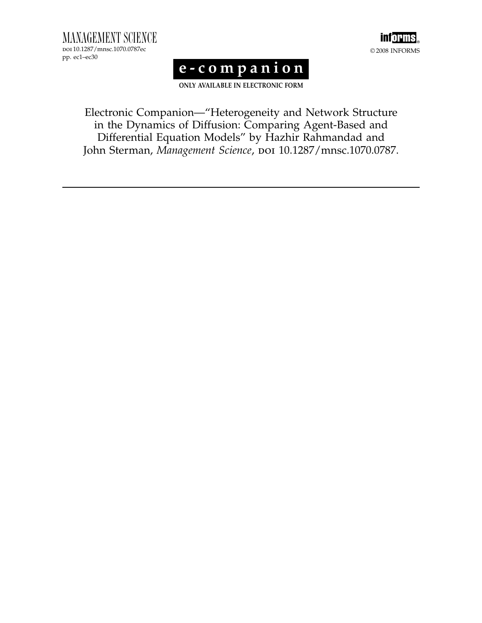MANAGEMENT SCIENCE doi 10.1287/mnsc.1070.0787ec pp. ec1–ec30



# e-companion

ONLY AVAILABLE IN ELECTRONIC FORM

Electronic Companion—"Heterogeneity and Network Structure in the Dynamics of Diffusion: Comparing Agent-Based and Differential Equation Models" by Hazhir Rahmandad and John Sterman, Management Science, poi 10.1287/mnsc.1070.0787.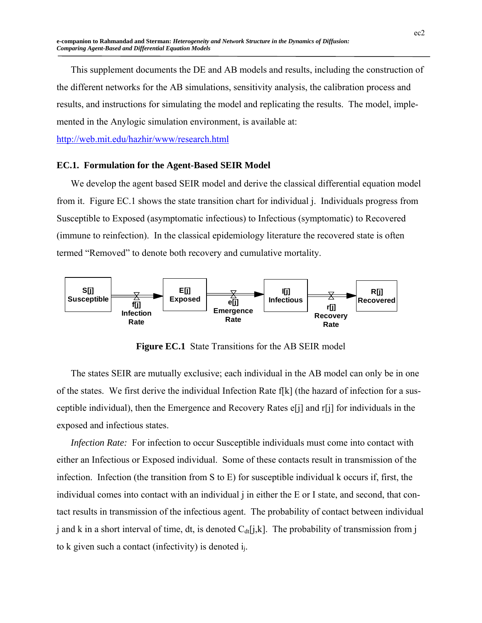This supplement documents the DE and AB models and results, including the construction of the different networks for the AB simulations, sensitivity analysis, the calibration process and results, and instructions for simulating the model and replicating the results. The model, implemented in the Anylogic simulation environment, is available at:

http://web.mit.edu/hazhir/www/research.html

#### **EC.1. Formulation for the Agent-Based SEIR Model**

We develop the agent based SEIR model and derive the classical differential equation model from it. Figure EC.1 shows the state transition chart for individual j. Individuals progress from Susceptible to Exposed (asymptomatic infectious) to Infectious (symptomatic) to Recovered (immune to reinfection). In the classical epidemiology literature the recovered state is often termed "Removed" to denote both recovery and cumulative mortality.



**Figure EC.1** State Transitions for the AB SEIR model

The states SEIR are mutually exclusive; each individual in the AB model can only be in one of the states. We first derive the individual Infection Rate f[k] (the hazard of infection for a susceptible individual), then the Emergence and Recovery Rates e[j] and r[j] for individuals in the exposed and infectious states.

*Infection Rate:* For infection to occur Susceptible individuals must come into contact with either an Infectious or Exposed individual. Some of these contacts result in transmission of the infection. Infection (the transition from S to E) for susceptible individual k occurs if, first, the individual comes into contact with an individual j in either the E or I state, and second, that contact results in transmission of the infectious agent. The probability of contact between individual j and k in a short interval of time, dt, is denoted  $C_{dt}[j,k]$ . The probability of transmission from j to k given such a contact (infectivity) is denoted  $i_i$ .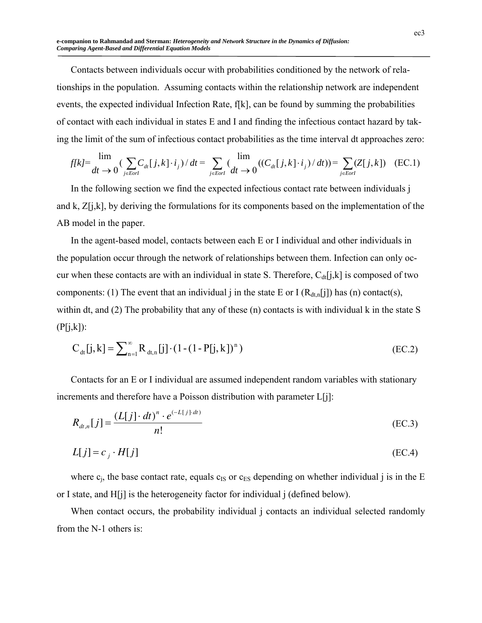**e-companion to Rahmandad and Sterman:** *Heterogeneity and Network Structure in the Dynamics of Diffusion: Comparing Agent-Based and Differential Equation Models*

Contacts between individuals occur with probabilities conditioned by the network of relationships in the population. Assuming contacts within the relationship network are independent events, the expected individual Infection Rate, f[k], can be found by summing the probabilities of contact with each individual in states E and I and finding the infectious contact hazard by taking the limit of the sum of infectious contact probabilities as the time interval dt approaches zero:

$$
f[k] = \lim_{dt \to 0} \left( \sum_{j \in \text{Eorl}} C_{dt}[j,k] \cdot i_j \right) / dt = \sum_{j \in \text{Eorl}} \left( \lim_{dt \to 0} \left( \left( C_{dt}[j,k] \cdot i_j \right) / dt \right) \right) = \sum_{j \in \text{Eorl}} (Z[j,k]) \quad \text{(EC.1)}
$$

In the following section we find the expected infectious contact rate between individuals j and k,  $Z[i,k]$ , by deriving the formulations for its components based on the implementation of the AB model in the paper.

In the agent-based model, contacts between each E or I individual and other individuals in the population occur through the network of relationships between them. Infection can only occur when these contacts are with an individual in state S. Therefore,  $C_{dt}[j,k]$  is composed of two components: (1) The event that an individual j in the state E or I  $(R_{dt,n}[j])$  has (n) contact(s), within dt, and (2) The probability that any of these (n) contacts is with individual k in the state S  $(P[j,k])$ :

$$
C_{dt}[j,k] = \sum_{n=1}^{\infty} R_{dt,n}[j] \cdot (1 - (1 - P[j,k])^{n})
$$
 (EC.2)

Contacts for an E or I individual are assumed independent random variables with stationary increments and therefore have a Poisson distribution with parameter  $L[i]$ :

$$
R_{dt,n}[j] = \frac{(L[j] \cdot dt)^n \cdot e^{(-L[j] \cdot dt)}}{n!}
$$
 (EC.3)

$$
L[j] = c_j \cdot H[j] \tag{EC.4}
$$

where  $c_i$ , the base contact rate, equals  $c_{IS}$  or  $c_{ES}$  depending on whether individual j is in the E or I state, and H[j] is the heterogeneity factor for individual j (defined below).

When contact occurs, the probability individual j contacts an individual selected randomly from the N-1 others is: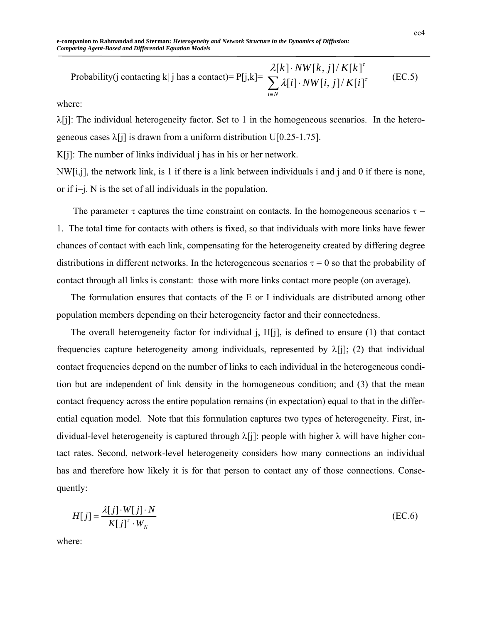Probability(j contacting k| j has a contact)= P[j,k]= 
$$
\frac{\lambda[k] \cdot NW[k,j]/K[k]^{\tau}}{\sum_{i \in N} \lambda[i] \cdot NW[i,j]/K[i]^{\tau}}
$$
 (EC.5)

where:

 $\lambda[i]$ : The individual heterogeneity factor. Set to 1 in the homogeneous scenarios. In the heterogeneous cases  $\lambda$ [j] is drawn from a uniform distribution U[0.25-1.75].

K[j]: The number of links individual j has in his or her network.

NW[i,j], the network link, is 1 if there is a link between individuals i and j and 0 if there is none, or if  $i=j$ . N is the set of all individuals in the population.

The parameter  $\tau$  captures the time constraint on contacts. In the homogeneous scenarios  $\tau$  = 1. The total time for contacts with others is fixed, so that individuals with more links have fewer chances of contact with each link, compensating for the heterogeneity created by differing degree distributions in different networks. In the heterogeneous scenarios  $\tau = 0$  so that the probability of contact through all links is constant: those with more links contact more people (on average).

The formulation ensures that contacts of the E or I individuals are distributed among other population members depending on their heterogeneity factor and their connectedness.

The overall heterogeneity factor for individual j, H[j], is defined to ensure (1) that contact frequencies capture heterogeneity among individuals, represented by  $\lambda[j]$ ; (2) that individual contact frequencies depend on the number of links to each individual in the heterogeneous condition but are independent of link density in the homogeneous condition; and (3) that the mean contact frequency across the entire population remains (in expectation) equal to that in the differential equation model. Note that this formulation captures two types of heterogeneity. First, individual-level heterogeneity is captured through  $\lambda$ [j]: people with higher  $\lambda$  will have higher contact rates. Second, network-level heterogeneity considers how many connections an individual has and therefore how likely it is for that person to contact any of those connections. Consequently:

$$
H[j] = \frac{\lambda[j] \cdot W[j] \cdot N}{K[j]^{\tau} \cdot W_N}
$$
 (EC.6)

where: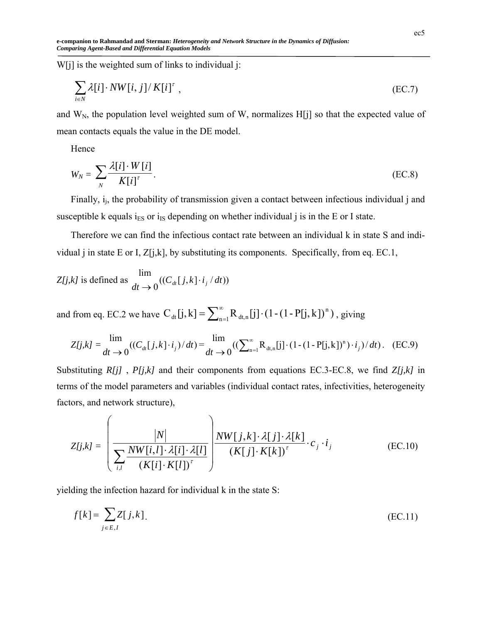**e-companion to Rahmandad and Sterman:** *Heterogeneity and Network Structure in the Dynamics of Diffusion: Comparing Agent-Based and Differential Equation Models*

W[j] is the weighted sum of links to individual j:

$$
\sum_{i \in N} \lambda[i] \cdot NW[i, j] / K[i]^{\tau} , \qquad (EC.7)
$$

and  $W_N$ , the population level weighted sum of W, normalizes H[j] so that the expected value of mean contacts equals the value in the DE model.

Hence

$$
W_N = \sum_{N} \frac{\lambda[i] \cdot W[i]}{K[i]^{\tau}}.
$$
 (EC.8)

Finally,  $i_i$ , the probability of transmission given a contact between infectious individual j and susceptible k equals  $i_{ES}$  or  $i_{IS}$  depending on whether individual j is in the E or I state.

Therefore we can find the infectious contact rate between an individual k in state S and individual *j* in state E or I,  $Z[i,k]$ , by substituting its components. Specifically, from eq. EC.1,

$$
Z[j,k]
$$
 is defined as 
$$
\frac{\lim_{dt \to 0} ((C_{dt}[j,k] \cdot i_j / dt))}{dt \to 0}
$$

and from eq. EC.2 we have  $C_{dt}[j,k] = \sum_{n=1}^{\infty} R_{dt,n}[j] \cdot (1-(1-P[j,k])^n)$ , giving

$$
Z[j,k] = \frac{\lim}{dt \to 0} ((C_{dt}[j,k] \cdot i_j)/dt) = \frac{\lim}{dt \to 0} ((\sum_{n=1}^{\infty} R_{dt,n}[j] \cdot (1 - (1 - P[j,k])^n) \cdot i_j)/dt). \quad (EC.9)
$$

Substituting *R[j]* , *P[j,k]* and their components from equations EC.3-EC.8, we find *Z[j,k]* in terms of the model parameters and variables (individual contact rates, infectivities, heterogeneity factors, and network structure),

$$
Z[j,k] = \left(\frac{|N|}{\sum_{i,l} \frac{NW[i,l] \cdot \lambda[i] \cdot \lambda[l]}{(K[i] \cdot K[l])^{\tau}}}\right) \frac{NW[j,k] \cdot \lambda[j] \cdot \lambda[k]}{(K[j] \cdot K[k])^{\tau}} \cdot c_j \cdot i_j
$$
(EC.10)

yielding the infection hazard for individual k in the state S:

$$
f[k] = \sum_{j \in E, I} Z[j, k].
$$
 (EC.11)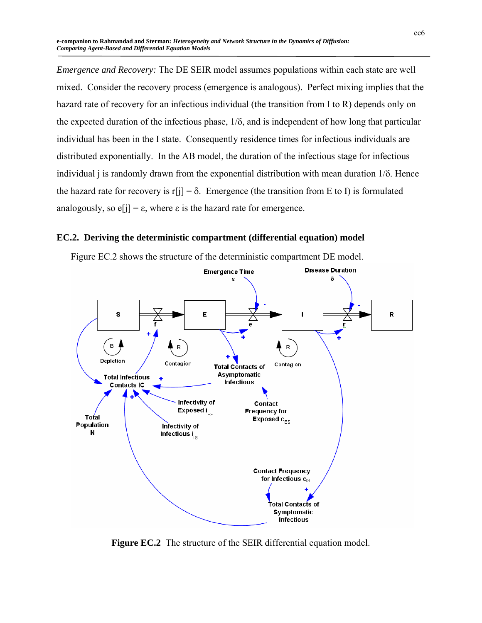*Emergence and Recovery:* The DE SEIR model assumes populations within each state are well mixed. Consider the recovery process (emergence is analogous). Perfect mixing implies that the hazard rate of recovery for an infectious individual (the transition from I to R) depends only on the expected duration of the infectious phase, 1/δ, and is independent of how long that particular individual has been in the I state. Consequently residence times for infectious individuals are distributed exponentially. In the AB model, the duration of the infectious stage for infectious individual j is randomly drawn from the exponential distribution with mean duration  $1/\delta$ . Hence the hazard rate for recovery is r[j] =  $\delta$ . Emergence (the transition from E to I) is formulated analogously, so  $e[i] = \varepsilon$ , where  $\varepsilon$  is the hazard rate for emergence.

## **EC.2. Deriving the deterministic compartment (differential equation) model**



Figure EC.2 shows the structure of the deterministic compartment DE model.

**Figure EC.2** The structure of the SEIR differential equation model.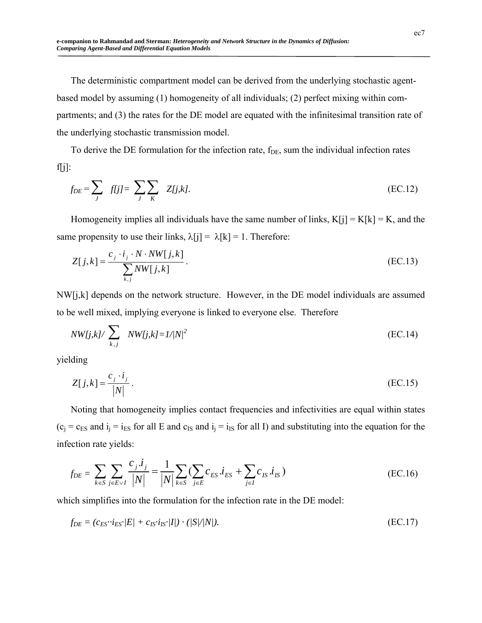The deterministic compartment model can be derived from the underlying stochastic agentbased model by assuming (1) homogeneity of all individuals; (2) perfect mixing within compartments; and (3) the rates for the DE model are equated with the infinitesimal transition rate of the underlying stochastic transmission model.

To derive the DE formulation for the infection rate,  $f_{DE}$ , sum the individual infection rates f[j]:

$$
f_{DE} = \sum_{J} f[j] = \sum_{J} \sum_{K} Z[j,k].
$$
 (EC.12)

Homogeneity implies all individuals have the same number of links,  $K[i] = K[k] = K$ , and the same propensity to use their links,  $\lambda[j] = \lambda[k] = 1$ . Therefore:

$$
Z[j,k] = \frac{c_j \cdot i_j \cdot N \cdot NW[j,k]}{\sum_{k,j} NW[j,k]}.
$$
 (EC.13)

NW[j,k] depends on the network structure. However, in the DE model individuals are assumed to be well mixed, implying everyone is linked to everyone else. Therefore

$$
NW[j,k]/\sum_{k,j} NW[j,k]=1/|N|^2
$$
 (EC.14)

yielding

$$
Z[j,k] = \frac{c_j \cdot i_j}{|N|} \,. \tag{EC.15}
$$

Noting that homogeneity implies contact frequencies and infectivities are equal within states  $(c_i = c_{ES} \text{ and } i_i = i_{ES} \text{ for all } E \text{ and } c_{IS} \text{ and } i_j = i_{IS} \text{ for all } I) \text{ and substituting into the equation for the } I \text{ and } I \text{ and } I \text{ and } I \text{ are the same as the function.}$ infection rate yields:

$$
f_{DE} = \sum_{k \in S} \sum_{j \in E \lor I} \frac{c_j \cdot i_j}{|N|} = \frac{1}{|N|} \sum_{k \in S} \left( \sum_{j \in E} c_{ES} \cdot i_{ES} + \sum_{j \in I} c_{IS} \cdot i_{IS} \right)
$$
(EC.16)

which simplifies into the formulation for the infection rate in the DE model:

$$
f_{DE} = (c_{ES} \cdot i_{ES}/E) + c_{IS} \cdot i_{IS}/I|) \cdot (|S|/|N|). \tag{EC.17}
$$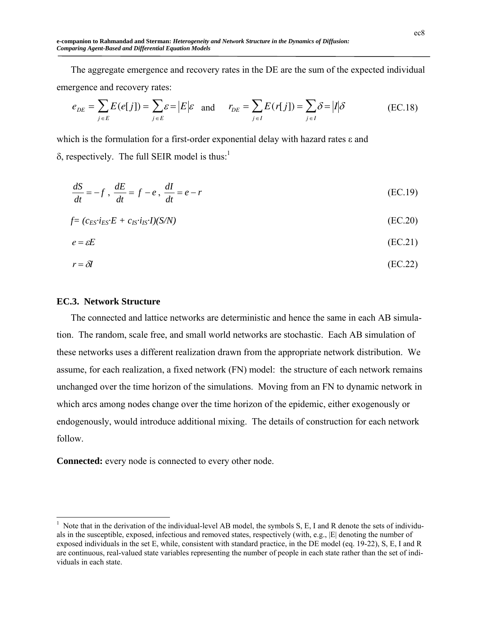The aggregate emergence and recovery rates in the DE are the sum of the expected individual emergence and recovery rates:

$$
e_{DE} = \sum_{j \in E} E(e[j]) = \sum_{j \in E} \varepsilon = |E|\varepsilon \text{ and } r_{DE} = \sum_{j \in I} E(r[j]) = \sum_{j \in I} \delta = |I|\delta
$$
 (EC.18)

which is the formulation for a first-order exponential delay with hazard rates ε and  $\delta$ , respectively. The full SEIR model is thus:<sup>1</sup>

$$
\frac{dS}{dt} = -f, \quad \frac{dE}{dt} = f - e, \quad \frac{dI}{dt} = e - r
$$
\n(EC.19)

$$
f = (c_{ES} \cdot i_{ES} \cdot E + c_{IS} \cdot i_{IS} \cdot I)(S/N) \tag{EC.20}
$$

$$
e = \varepsilon E \tag{EC.21}
$$

$$
r = \delta I \tag{EC.22}
$$

## **EC.3. Network Structure**

 $\overline{a}$ 

The connected and lattice networks are deterministic and hence the same in each AB simulation. The random, scale free, and small world networks are stochastic. Each AB simulation of these networks uses a different realization drawn from the appropriate network distribution. We assume, for each realization, a fixed network (FN) model: the structure of each network remains unchanged over the time horizon of the simulations. Moving from an FN to dynamic network in which arcs among nodes change over the time horizon of the epidemic, either exogenously or endogenously, would introduce additional mixing. The details of construction for each network follow.

**Connected:** every node is connected to every other node.

 $<sup>1</sup>$  Note that in the derivation of the individual-level AB model, the symbols S, E, I and R denote the sets of individu-</sup> als in the susceptible, exposed, infectious and removed states, respectively (with, e.g., |E| denoting the number of exposed individuals in the set E, while, consistent with standard practice, in the DE model (eq. 19-22), S, E, I and R are continuous, real-valued state variables representing the number of people in each state rather than the set of individuals in each state.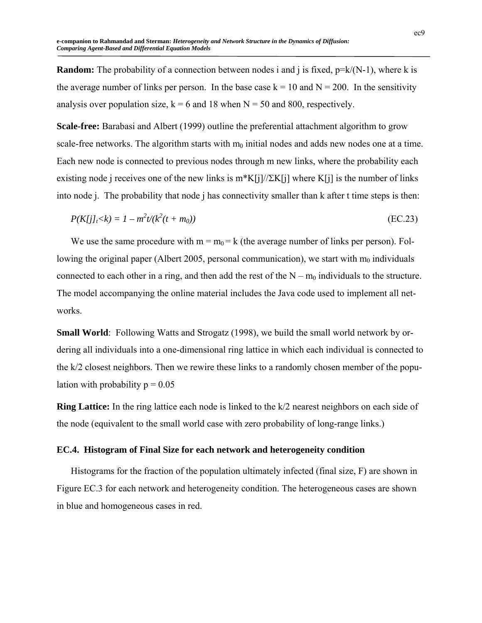**Random:** The probability of a connection between nodes i and j is fixed,  $p=k/(N-1)$ , where k is the average number of links per person. In the base case  $k = 10$  and  $N = 200$ . In the sensitivity analysis over population size,  $k = 6$  and 18 when  $N = 50$  and 800, respectively.

**Scale-free:** Barabasi and Albert (1999) outline the preferential attachment algorithm to grow scale-free networks. The algorithm starts with  $m_0$  initial nodes and adds new nodes one at a time. Each new node is connected to previous nodes through m new links, where the probability each existing node j receives one of the new links is m\*K[j]/ $\Sigma$ K[j] where K[j] is the number of links into node j. The probability that node j has connectivity smaller than k after t time steps is then:

$$
P(K[j]_t < k) = 1 - m^2 t/(k^2 (t + m_0))
$$
 (EC.23)

We use the same procedure with  $m = m_0 = k$  (the average number of links per person). Following the original paper (Albert 2005, personal communication), we start with  $m_0$  individuals connected to each other in a ring, and then add the rest of the  $N - m_0$  individuals to the structure. The model accompanying the online material includes the Java code used to implement all networks.

**Small World**: Following Watts and Strogatz (1998), we build the small world network by ordering all individuals into a one-dimensional ring lattice in which each individual is connected to the k/2 closest neighbors. Then we rewire these links to a randomly chosen member of the population with probability  $p = 0.05$ 

**Ring Lattice:** In the ring lattice each node is linked to the k/2 nearest neighbors on each side of the node (equivalent to the small world case with zero probability of long-range links.)

#### **EC.4. Histogram of Final Size for each network and heterogeneity condition**

Histograms for the fraction of the population ultimately infected (final size, F) are shown in Figure EC.3 for each network and heterogeneity condition. The heterogeneous cases are shown in blue and homogeneous cases in red.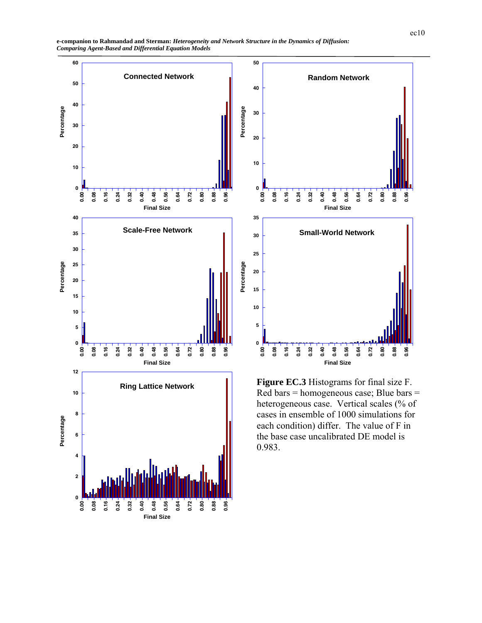





**Figure EC.3** Histograms for final size F. Red bars = homogeneous case; Blue bars = heterogeneous case. Vertical scales (% of cases in ensemble of 1000 simulations for each condition) differ. The value of F in the base case uncalibrated DE model is 0.983.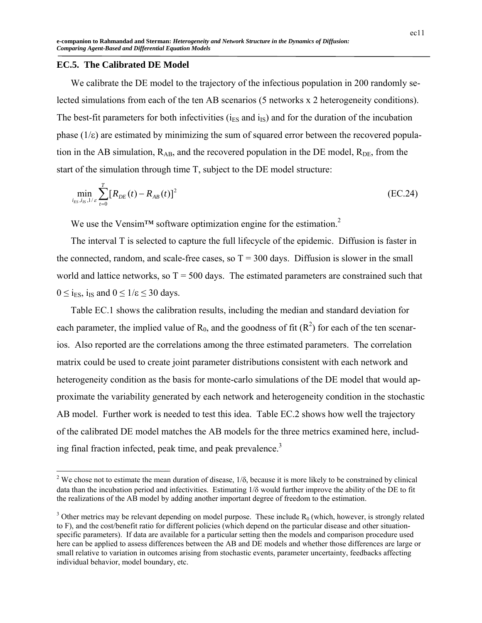#### **EC.5. The Calibrated DE Model**

 $\overline{a}$ 

We calibrate the DE model to the trajectory of the infectious population in 200 randomly selected simulations from each of the ten AB scenarios (5 networks x 2 heterogeneity conditions). The best-fit parameters for both infectivities ( $i<sub>ES</sub>$  and  $i<sub>IS</sub>$ ) and for the duration of the incubation phase  $(1/\varepsilon)$  are estimated by minimizing the sum of squared error between the recovered population in the AB simulation,  $R_{AB}$ , and the recovered population in the DE model,  $R_{DE}$ , from the start of the simulation through time T, subject to the DE model structure:

$$
\min_{i_{ES}, i_{IS}, 1/s} \sum_{t=0}^{T} [R_{DE}(t) - R_{AB}(t)]^2
$$
 (EC.24)

We use the Vensim<sup>TM</sup> software optimization engine for the estimation.<sup>2</sup>

The interval T is selected to capture the full lifecycle of the epidemic. Diffusion is faster in the connected, random, and scale-free cases, so  $T = 300$  days. Diffusion is slower in the small world and lattice networks, so  $T = 500$  days. The estimated parameters are constrained such that  $0 \le i_{ES}$ , i<sub>IS</sub> and  $0 \le 1/\varepsilon \le 30$  days.

Table EC.1 shows the calibration results, including the median and standard deviation for each parameter, the implied value of  $R_0$ , and the goodness of fit  $(R^2)$  for each of the ten scenarios. Also reported are the correlations among the three estimated parameters. The correlation matrix could be used to create joint parameter distributions consistent with each network and heterogeneity condition as the basis for monte-carlo simulations of the DE model that would approximate the variability generated by each network and heterogeneity condition in the stochastic AB model. Further work is needed to test this idea. Table EC.2 shows how well the trajectory of the calibrated DE model matches the AB models for the three metrics examined here, including final fraction infected, peak time, and peak prevalence.<sup>3</sup>

<sup>&</sup>lt;sup>2</sup> We chose not to estimate the mean duration of disease,  $1/\delta$ , because it is more likely to be constrained by clinical data than the incubation period and infectivities. Estimating 1/δ would further improve the ability of the DE to fit the realizations of the AB model by adding another important degree of freedom to the estimation.

 $3$  Other metrics may be relevant depending on model purpose. These include  $R_0$  (which, however, is strongly related to F), and the cost/benefit ratio for different policies (which depend on the particular disease and other situationspecific parameters). If data are available for a particular setting then the models and comparison procedure used here can be applied to assess differences between the AB and DE models and whether those differences are large or small relative to variation in outcomes arising from stochastic events, parameter uncertainty, feedbacks affecting individual behavior, model boundary, etc.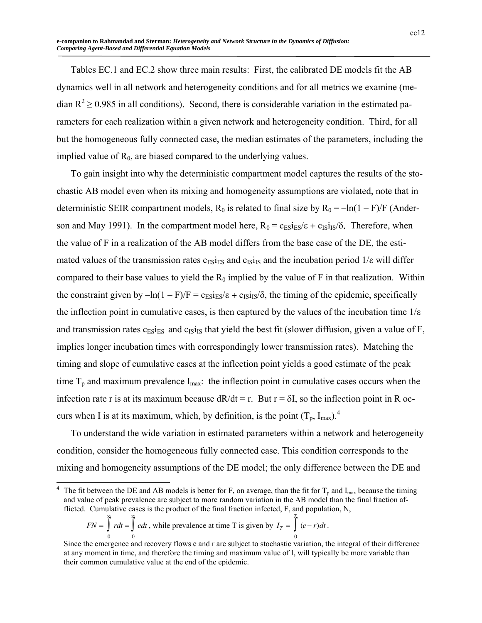Tables EC.1 and EC.2 show three main results: First, the calibrated DE models fit the AB dynamics well in all network and heterogeneity conditions and for all metrics we examine (median  $R^2 \ge 0.985$  in all conditions). Second, there is considerable variation in the estimated parameters for each realization within a given network and heterogeneity condition. Third, for all but the homogeneous fully connected case, the median estimates of the parameters, including the implied value of  $R_0$ , are biased compared to the underlying values.

To gain insight into why the deterministic compartment model captures the results of the stochastic AB model even when its mixing and homogeneity assumptions are violated, note that in deterministic SEIR compartment models,  $R_0$  is related to final size by  $R_0 = -\ln(1 - F)/F$  (Anderson and May 1991). In the compartment model here,  $R_0 = c_{ES}i_{ES}/\epsilon + c_{IS}i_{IS}/\delta$ . Therefore, when the value of F in a realization of the AB model differs from the base case of the DE, the estimated values of the transmission rates  $c_{ES}i_{ES}$  and  $c_{IS}i_{IS}$  and the incubation period  $1/\varepsilon$  will differ compared to their base values to yield the  $R_0$  implied by the value of F in that realization. Within the constraint given by  $-\ln(1 - F)/F = c_{FS}i_{FS}/\epsilon + c_{IS}i_{IS}/\delta$ , the timing of the epidemic, specifically the inflection point in cumulative cases, is then captured by the values of the incubation time  $1/\epsilon$ and transmission rates  $c_{ES}i_{ES}$  and  $c_{IS}i_{IS}$  that yield the best fit (slower diffusion, given a value of F, implies longer incubation times with correspondingly lower transmission rates). Matching the timing and slope of cumulative cases at the inflection point yields a good estimate of the peak time  $T_p$  and maximum prevalence  $I_{\text{max}}$ : the inflection point in cumulative cases occurs when the infection rate r is at its maximum because  $dR/dt = r$ . But  $r = \delta I$ , so the inflection point in R occurs when I is at its maximum, which, by definition, is the point  $(T_p, I_{max})$ .<sup>4</sup>

To understand the wide variation in estimated parameters within a network and heterogeneity condition, consider the homogeneous fully connected case. This condition corresponds to the mixing and homogeneity assumptions of the DE model; the only difference between the DE and

$$
FN = \int_{0}^{\infty} rdt = \int_{0}^{\infty} edt
$$
, while prevalence at time T is given by  $I_T = \int_{0}^{T} (e-r)dt$ .

l

<sup>4</sup> The fit between the DE and AB models is better for F, on average, than the fit for  $T_p$  and  $I_{max}$  because the timing and value of peak prevalence are subject to more random variation in the AB model than the final fraction afflicted. Cumulative cases is the product of the final fraction infected, F, and population, N,

Since the emergence and recovery flows e and r are subject to stochastic variation, the integral of their difference at any moment in time, and therefore the timing and maximum value of I, will typically be more variable than their common cumulative value at the end of the epidemic.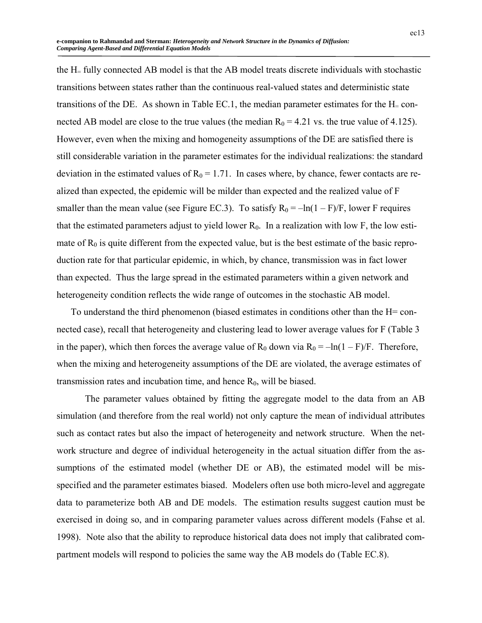the H= fully connected AB model is that the AB model treats discrete individuals with stochastic transitions between states rather than the continuous real-valued states and deterministic state transitions of the DE. As shown in Table EC.1, the median parameter estimates for the  $H = con$ nected AB model are close to the true values (the median  $R_0 = 4.21$  vs. the true value of 4.125). However, even when the mixing and homogeneity assumptions of the DE are satisfied there is still considerable variation in the parameter estimates for the individual realizations: the standard deviation in the estimated values of  $R_0 = 1.71$ . In cases where, by chance, fewer contacts are realized than expected, the epidemic will be milder than expected and the realized value of F smaller than the mean value (see Figure EC.3). To satisfy  $R_0 = -\ln(1 - F)/F$ , lower F requires that the estimated parameters adjust to yield lower  $R_0$ . In a realization with low F, the low estimate of  $R_0$  is quite different from the expected value, but is the best estimate of the basic reproduction rate for that particular epidemic, in which, by chance, transmission was in fact lower than expected. Thus the large spread in the estimated parameters within a given network and heterogeneity condition reflects the wide range of outcomes in the stochastic AB model.

To understand the third phenomenon (biased estimates in conditions other than the H= connected case), recall that heterogeneity and clustering lead to lower average values for F (Table 3 in the paper), which then forces the average value of  $R_0$  down via  $R_0 = -\ln(1 - F)/F$ . Therefore, when the mixing and heterogeneity assumptions of the DE are violated, the average estimates of transmission rates and incubation time, and hence  $R_0$ , will be biased.

The parameter values obtained by fitting the aggregate model to the data from an AB simulation (and therefore from the real world) not only capture the mean of individual attributes such as contact rates but also the impact of heterogeneity and network structure. When the network structure and degree of individual heterogeneity in the actual situation differ from the assumptions of the estimated model (whether DE or AB), the estimated model will be misspecified and the parameter estimates biased. Modelers often use both micro-level and aggregate data to parameterize both AB and DE models. The estimation results suggest caution must be exercised in doing so, and in comparing parameter values across different models (Fahse et al. 1998). Note also that the ability to reproduce historical data does not imply that calibrated compartment models will respond to policies the same way the AB models do (Table EC.8).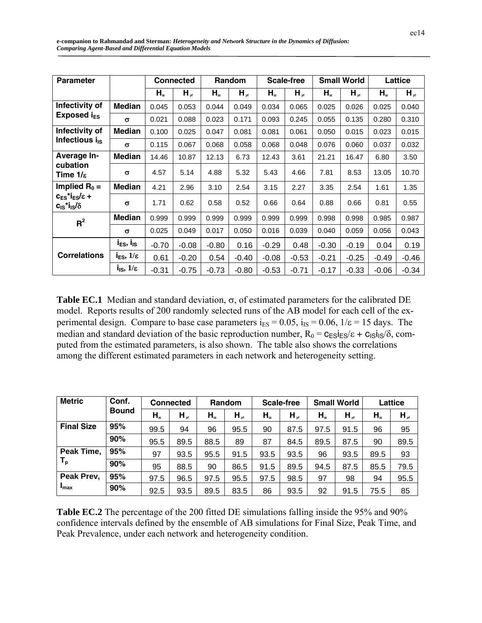| <b>Parameter</b>                                                                    |                            |         | <b>Connected</b> |         | Random     |         | Scale-free |           | <b>Small World</b> |           | Lattice    |
|-------------------------------------------------------------------------------------|----------------------------|---------|------------------|---------|------------|---------|------------|-----------|--------------------|-----------|------------|
|                                                                                     |                            | $H_{-}$ | $H_{\neq}$       | $H_{-}$ | $H_{\neq}$ | $H_{-}$ | $H_{\neq}$ | $H_{\pm}$ | $H_{\neq}$         | $H_{\pm}$ | $H_{\neq}$ |
| Infectivity of                                                                      | <b>Median</b>              | 0.045   | 0.053            | 0.044   | 0.049      | 0.034   | 0.065      | 0.025     | 0.026              | 0.025     | 0.040      |
| Exposed $i_{ES}$                                                                    | $\sigma$                   | 0.021   | 0.088            | 0.023   | 0.171      | 0.093   | 0.245      | 0.055     | 0.135              | 0.280     | 0.310      |
| Infectivity of                                                                      | <b>Median</b>              | 0.100   | 0.025            | 0.047   | 0.081      | 0.081   | 0.061      | 0.050     | 0.015              | 0.023     | 0.015      |
| Infectious $i_{IS}$                                                                 | $\sigma$                   | 0.115   | 0.067            | 0.068   | 0.058      | 0.068   | 0.048      | 0.076     | 0.060              | 0.037     | 0.032      |
| Average In-                                                                         | <b>Median</b>              | 14.46   | 10.87            | 12.13   | 6.73       | 12.43   | 3.61       | 21.21     | 16.47              | 6.80      | 3.50       |
| cubation<br>Time $1/\varepsilon$                                                    | $\sigma$                   | 4.57    | 5.14             | 4.88    | 5.32       | 5.43    | 4.66       | 7.81      | 8.53               | 13.05     | 10.70      |
| Implied $R_0 =$                                                                     | <b>Median</b>              | 4.21    | 2.96             | 3.10    | 2.54       | 3.15    | 2.27       | 3.35      | 2.54               | 1.61      | 1.35       |
| $c_{ES}$ *i <sub>ES</sub> / $\varepsilon$ +<br>$c_{1s}$ *i <sub>ls</sub> / $\delta$ | $\sigma$                   | 1.71    | 0.62             | 0.58    | 0.52       | 0.66    | 0.64       | 0.88      | 0.66               | 0.81      | 0.55       |
| $R^2$                                                                               | <b>Median</b>              | 0.999   | 0.999            | 0.999   | 0.999      | 0.999   | 0.999      | 0.998     | 0.998              | 0.985     | 0.987      |
|                                                                                     | $\sigma$                   | 0.025   | 0.049            | 0.017   | 0.050      | 0.016   | 0.039      | 0.040     | 0.059              | 0.056     | 0.043      |
|                                                                                     | $i_{ES}, i_{IS}$           | $-0.70$ | $-0.08$          | $-0.80$ | 0.16       | $-0.29$ | 0.48       | $-0.30$   | $-0.19$            | 0.04      | 0.19       |
| <b>Correlations</b>                                                                 | $i_{ES}$ , $1/\varepsilon$ | 0.61    | $-0.20$          | 0.54    | $-0.40$    | $-0.08$ | $-0.53$    | $-0.21$   | $-0.25$            | $-0.49$   | $-0.46$    |
|                                                                                     | $i_{IS}$ , $1/\varepsilon$ | $-0.31$ | $-0.75$          | $-0.73$ | $-0.80$    | $-0.53$ | $-0.71$    | $-0.17$   | $-0.33$            | $-0.06$   | $-0.34$    |

**Table EC.1** Median and standard deviation, σ, of estimated parameters for the calibrated DE model. Reports results of 200 randomly selected runs of the AB model for each cell of the experimental design. Compare to base case parameters  $i_{ES} = 0.05$ ,  $i_{IS} = 0.06$ ,  $1/\epsilon = 15$  days. The median and standard deviation of the basic reproduction number,  $R_0 = c_{\text{FS}} i_{\text{FS}} / \varepsilon + c_{\text{IS}} i_{\text{IS}} / \delta$ , computed from the estimated parameters, is also shown. The table also shows the correlations among the different estimated parameters in each network and heterogeneity setting.

| <b>Metric</b>             | Conf.        |           | <b>Connected</b> |         | <b>Random</b> |         | <b>Scale-free</b> |           | <b>Small World</b> |         | Lattice    |
|---------------------------|--------------|-----------|------------------|---------|---------------|---------|-------------------|-----------|--------------------|---------|------------|
|                           | <b>Bound</b> | $H_{\pm}$ | $H_{\neq}$       | $H_{-}$ | $H_{\neq}$    | $H_{-}$ | $H_{\neq}$        | $H_{\pm}$ | $H_{\neq}$         | $H_{-}$ | $H_{\neq}$ |
| <b>Final Size</b>         | 95%          | 99.5      | 94               | 96      | 95.5          | 90      | 87.5              | 97.5      | 91.5               | 96      | 95         |
|                           | 90%          | 95.5      | 89.5             | 88.5    | 89            | 87      | 84.5              | 89.5      | 87.5               | 90      | 89.5       |
| Peak Time,                | 95%          | 97        | 93.5             | 95.5    | 91.5          | 93.5    | 93.5              | 96        | 93.5               | 89.5    | 93         |
| $\mathsf{T}_{\mathsf{p}}$ | 90%          | 95        | 88.5             | 90      | 86.5          | 91.5    | 89.5              | 94.5      | 87.5               | 85.5    | 79.5       |
| Peak Prev,                | 95%          | 97.5      | 96.5             | 97.5    | 95.5          | 97.5    | 98.5              | 97        | 98                 | 94      | 95.5       |
| $I_{\text{max}}$          | 90%          | 92.5      | 93.5             | 89.5    | 83.5          | 86      | 93.5              | 92        | 91.5               | 75.5    | 85         |

**Table EC.2** The percentage of the 200 fitted DE simulations falling inside the 95% and 90% confidence intervals defined by the ensemble of AB simulations for Final Size, Peak Time, and Peak Prevalence, under each network and heterogeneity condition.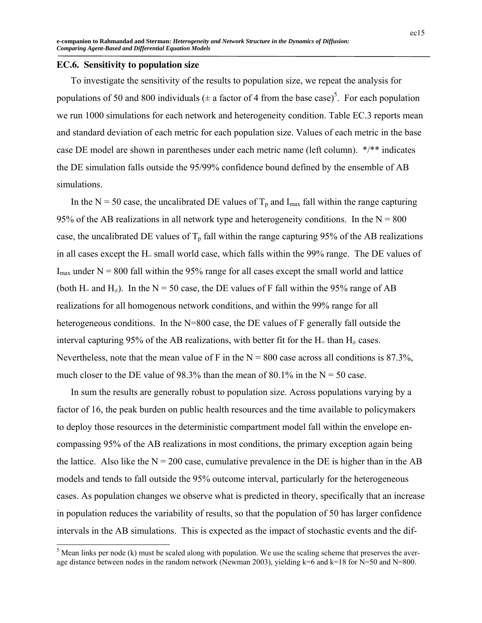### **EC.6. Sensitivity to population size**

 $\overline{a}$ 

To investigate the sensitivity of the results to population size, we repeat the analysis for populations of 50 and 800 individuals ( $\pm$  a factor of 4 from the base case)<sup>5</sup>. For each population we run 1000 simulations for each network and heterogeneity condition. Table EC.3 reports mean and standard deviation of each metric for each population size. Values of each metric in the base case DE model are shown in parentheses under each metric name (left column). \*/\*\* indicates the DE simulation falls outside the 95/99% confidence bound defined by the ensemble of AB simulations.

In the N = 50 case, the uncalibrated DE values of  $T_p$  and I<sub>max</sub> fall within the range capturing 95% of the AB realizations in all network type and heterogeneity conditions. In the  $N = 800$ case, the uncalibrated DE values of  $T_p$  fall within the range capturing 95% of the AB realizations in all cases except the H= small world case, which falls within the 99% range. The DE values of  $I_{\text{max}}$  under N = 800 fall within the 95% range for all cases except the small world and lattice (both H= and H<sub>≠</sub>). In the N = 50 case, the DE values of F fall within the 95% range of AB realizations for all homogenous network conditions, and within the 99% range for all heterogeneous conditions. In the N=800 case, the DE values of F generally fall outside the interval capturing 95% of the AB realizations, with better fit for the H= than  $H_{\neq}$  cases. Nevertheless, note that the mean value of F in the  $N = 800$  case across all conditions is 87.3%, much closer to the DE value of 98.3% than the mean of 80.1% in the  $N = 50$  case.

In sum the results are generally robust to population size. Across populations varying by a factor of 16, the peak burden on public health resources and the time available to policymakers to deploy those resources in the deterministic compartment model fall within the envelope encompassing 95% of the AB realizations in most conditions, the primary exception again being the lattice. Also like the  $N = 200$  case, cumulative prevalence in the DE is higher than in the AB models and tends to fall outside the 95% outcome interval, particularly for the heterogeneous cases. As population changes we observe what is predicted in theory, specifically that an increase in population reduces the variability of results, so that the population of 50 has larger confidence intervals in the AB simulations. This is expected as the impact of stochastic events and the dif-

 $<sup>5</sup>$  Mean links per node (k) must be scaled along with population. We use the scaling scheme that preserves the aver-</sup> age distance between nodes in the random network (Newman 2003), yielding k=6 and k=18 for N=50 and N=800.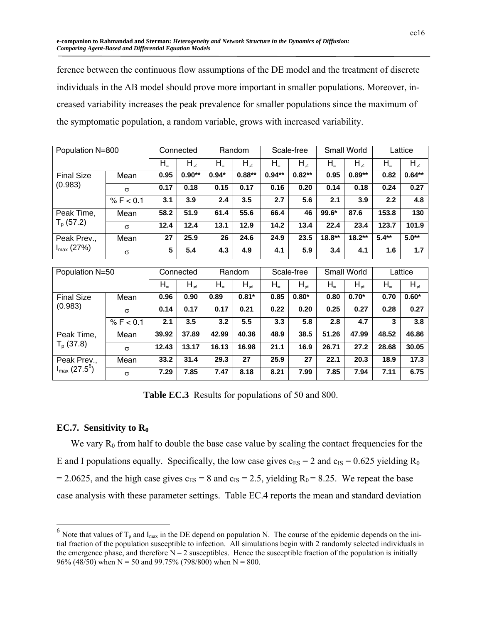ference between the continuous flow assumptions of the DE model and the treatment of discrete individuals in the AB model should prove more important in smaller populations. Moreover, increased variability increases the peak prevalence for smaller populations since the maximum of the symptomatic population, a random variable, grows with increased variability.

| Population N=800      |           |           | Connected  |           | Random     |           | Scale-free |           | Small World |           | Lattice    |
|-----------------------|-----------|-----------|------------|-----------|------------|-----------|------------|-----------|-------------|-----------|------------|
|                       |           | $H_{\pm}$ | $H_{\neq}$ | $H_{\pm}$ | $H_{\neq}$ | $H_{\pm}$ | $H_{\neq}$ | $H_{\pm}$ | $H_{\neq}$  | $H_{\pm}$ | $H_{\neq}$ |
| <b>Final Size</b>     | Mean      | 0.95      | $0.90**$   | $0.94*$   | $0.88**$   | $0.94**$  | $0.82**$   | 0.95      | $0.89**$    | 0.82      | $0.64**$   |
| (0.983)               | $\sigma$  | 0.17      | 0.18       | 0.15      | 0.17       | 0.16      | 0.20       | 0.14      | 0.18        | 0.24      | 0.27       |
|                       | % F < 0.1 | 3.1       | 3.9        | 2.4       | 3.5        | 2.7       | 5.6        | 2.1       | 3.9         | 2.2       | 4.8        |
| Peak Time,            | Mean      | 58.2      | 51.9       | 61.4      | 55.6       | 66.4      | 46         | 99.6*     | 87.6        | 153.8     | 130        |
| $T_p$ (57.2)          | $\sigma$  | 12.4      | 12.4       | 13.1      | 12.9       | 14.2      | 13.4       | 22.4      | 23.4        | 123.7     | 101.9      |
| Peak Prev.,           | Mean      | 27        | 25.9       | 26        | 24.6       | 24.9      | 23.5       | $18.8**$  | $18.2**$    | $5.4**$   | $5.0**$    |
| $I_{\text{max}}(27%)$ | $\sigma$  | 5         | 5.4        | 4.3       | 4.9        | 4.1       | 5.9        | 3.4       | 4.1         | 1.6       | 1.7        |
|                       |           |           |            |           |            |           |            |           |             |           |            |

| Population N=50                                      |           |         | Connected  |       | Random     |         | Scale-free |             | Small World |           | Lattice    |  |
|------------------------------------------------------|-----------|---------|------------|-------|------------|---------|------------|-------------|-------------|-----------|------------|--|
|                                                      |           | $H_{=}$ | $H_{\neq}$ | $H_+$ | $H_{\neq}$ | $H_{=}$ | $H_{\neq}$ | ${\sf H}_=$ | $H_{\neq}$  | $H_{\pm}$ | $H_{\neq}$ |  |
| <b>Final Size</b><br>(0.983)                         | Mean      | 0.96    | 0.90       | 0.89  | $0.81*$    | 0.85    | $0.80*$    | 0.80        | $0.70*$     | 0.70      | $0.60*$    |  |
|                                                      | $\sigma$  | 0.14    | 0.17       | 0.17  | 0.21       | 0.22    | 0.20       | 0.25        | 0.27        | 0.28      | 0.27       |  |
|                                                      | % F < 0.1 | 2.1     | 3.5        | 3.2   | 5.5        | 3.3     | 5.8        | 2.8         | 4.7         | 3         | 3.8        |  |
| Peak Time,                                           | Mean      | 39.92   | 37.89      | 42.99 | 40.36      | 48.9    | 38.5       | 51.26       | 47.99       | 48.52     | 46.86      |  |
| $T_p$ (37.8)                                         | $\sigma$  | 12.43   | 13.17      | 16.13 | 16.98      | 21.1    | 16.9       | 26.71       | 27.2        | 28.68     | 30.05      |  |
| Peak Prev.,<br>$I_{\text{max}}$ (27.5 <sup>6</sup> ) | Mean      | 33.2    | 31.4       | 29.3  | 27         | 25.9    | 27         | 22.1        | 20.3        | 18.9      | 17.3       |  |
|                                                      | $\sigma$  | 7.29    | 7.85       | 7.47  | 8.18       | 8.21    | 7.99       | 7.85        | 7.94        | 7.11      | 6.75       |  |

**Table EC.3** Results for populations of 50 and 800.

## **EC.7.** Sensitivity to R<sub>0</sub>

 $\overline{a}$ 

We vary  $R_0$  from half to double the base case value by scaling the contact frequencies for the E and I populations equally. Specifically, the low case gives  $c_{ES} = 2$  and  $c_{IS} = 0.625$  yielding R<sub>0</sub> = 2.0625, and the high case gives  $c_{ES}$  = 8 and  $c_{IS}$  = 2.5, yielding  $R_0$  = 8.25. We repeat the base case analysis with these parameter settings. Table EC.4 reports the mean and standard deviation

<sup>&</sup>lt;sup>6</sup> Note that values of  $T_p$  and I<sub>max</sub> in the DE depend on population N. The course of the epidemic depends on the initial fraction of the population susceptible to infection. All simulations begin with 2 randomly selected individuals in the emergence phase, and therefore  $N - 2$  susceptibles. Hence the susceptible fraction of the population is initially 96% (48/50) when N = 50 and 99.75% (798/800) when N = 800.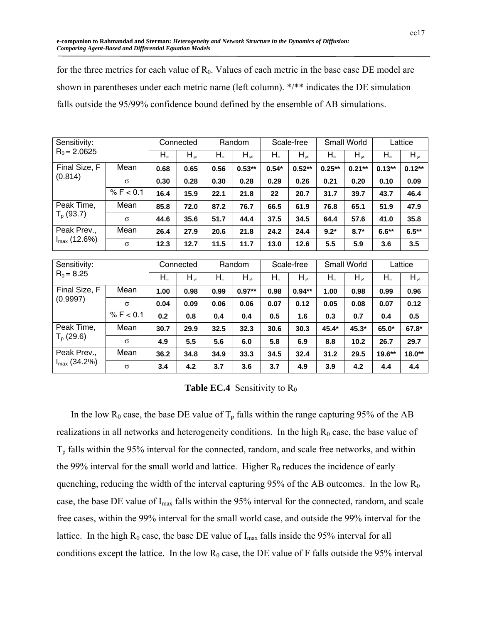for the three metrics for each value of  $R_0$ . Values of each metric in the base case DE model are shown in parentheses under each metric name (left column). \*/\*\* indicates the DE simulation falls outside the 95/99% confidence bound defined by the ensemble of AB simulations.

| Sensitivity:              |           |           | Connected  |           | Random               |           | Scale-free |                    | <b>Small World</b> | Lattice   |            |
|---------------------------|-----------|-----------|------------|-----------|----------------------|-----------|------------|--------------------|--------------------|-----------|------------|
| $R_0 = 2.0625$            |           | $H_{\pm}$ | $H_{\neq}$ | $H_{\pm}$ | $H_{\neq}$           | $H_{\pm}$ | $H_{\neq}$ | $H_{\pm}$          | $H_{\neq}$         | $H_{\pm}$ | $H_{\neq}$ |
| Final Size, F             | Mean      | 0.68      | 0.65       | 0.56      | $0.53**$             | $0.54*$   | $0.52**$   | $0.25**$           | $0.21**$           | $0.13**$  | $0.12**$   |
| (0.814)                   | $\sigma$  | 0.30      | 0.28       | 0.30      | 0.28                 | 0.29      | 0.26       | 0.21               | 0.20               | 0.10      | 0.09       |
|                           | % F < 0.1 | 16.4      | 15.9       | 22.1      | 21.8                 | 22        | 20.7       | 31.7               | 39.7               | 43.7      | 46.4       |
| Peak Time,                | Mean      | 85.8      | 72.0       | 87.2      | 76.7                 | 66.5      | 61.9       | 76.8               | 65.1               | 51.9      | 47.9       |
| $T_p(93.7)$               | $\sigma$  | 44.6      | 35.6       | 51.7      | 44.4                 | 37.5      | 34.5       | 64.4               | 57.6               | 41.0      | 35.8       |
| Peak Prev.,               | Mean      | 26.4      | 27.9       | 20.6      | 21.8                 | 24.2      | 24.4       | $9.2*$             | $8.7*$             | $6.6**$   | $6.5***$   |
| $I_{max}$ (12.6%)         | $\sigma$  | 12.3      | 12.7       | 11.5      | 11.7                 | 13.0      | 12.6       | 5.5                | 5.9                | 3.6       | 3.5        |
|                           |           |           |            |           |                      |           |            |                    |                    |           |            |
| Sensitivity:              |           |           | Connected  |           | Random<br>Scale-free |           |            | <b>Small World</b> |                    |           | Lattice    |
| $R_0 = 8.25$              |           | $H_{\pm}$ | $H_{\neq}$ | $H_{\pm}$ | $H_{\neq}$           | $H_{\pm}$ | $H_{\neq}$ | $H_{\pm}$          | $H_{\neq}$         | $H_{\pm}$ | $H_{\neq}$ |
| Final Size, F<br>(0.9997) | Mean      | 1.00      | 0.98       | 0.99      | $0.97**$             | 0.98      | $0.94**$   | 1.00               | 0.98               | 0.99      | 0.96       |
|                           | $\sigma$  | 0.04      | 0.09       | 0.06      | 0.06                 | 0.07      | 0.12       | 0.05               | 0.08               | 0.07      | 0.12       |
|                           | % F < 0.1 | 0.2       | 0.8        | 0.4       | 0.4                  | 0.5       | 1.6        | 0.3                | 0.7                | 0.4       | 0.5        |

| <b>Table EC.4</b> Sensitivity to $R_0$ |
|----------------------------------------|
|                                        |

Peak Time, | Mean | 30.7 | 29.9 | 32.5 | 32.3 | 30.6 | 30.3 | 45.4\* | 45.3\* | 65.0\* | 67.8\* Tp (29.6) <sup>σ</sup> **4.9 5.5 5.6 6.0 5.8 6.9 8.8 10.2 26.7 29.7**  Peak Prev., | Mean | 36.2 | 34.8 | 34.9 | 33.3 | 34.5 | 32.4 | 31.2 | 29.5 | 19.6<sup>\*\*</sup> | 18.0<sup>\*\*</sup> Imax (34.2%) <sup>σ</sup> **3.4 4.2 3.7 3.6 3.7 4.9 3.9 4.2 4.4 4.4** 

In the low R<sub>0</sub> case, the base DE value of  $T_p$  falls within the range capturing 95% of the AB realizations in all networks and heterogeneity conditions. In the high  $R_0$  case, the base value of  $T<sub>p</sub>$  falls within the 95% interval for the connected, random, and scale free networks, and within the 99% interval for the small world and lattice. Higher  $R_0$  reduces the incidence of early quenching, reducing the width of the interval capturing  $95\%$  of the AB outcomes. In the low  $R_0$ case, the base DE value of Imax falls within the 95% interval for the connected, random, and scale free cases, within the 99% interval for the small world case, and outside the 99% interval for the lattice. In the high  $R_0$  case, the base DE value of  $I_{max}$  falls inside the 95% interval for all conditions except the lattice. In the low  $R_0$  case, the DE value of F falls outside the 95% interval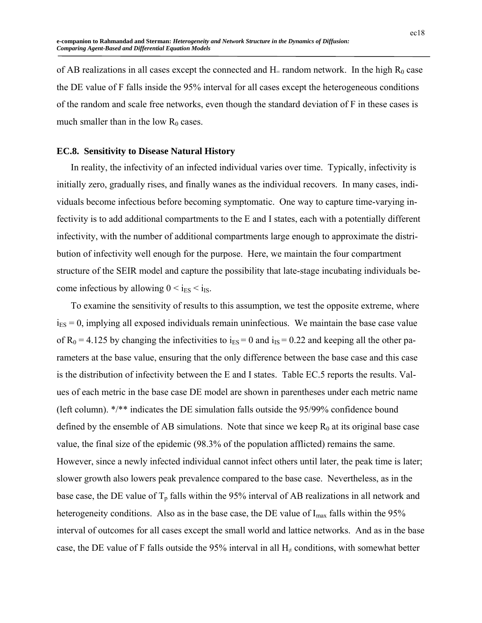of AB realizations in all cases except the connected and  $H$ = random network. In the high  $R_0$  case the DE value of F falls inside the 95% interval for all cases except the heterogeneous conditions of the random and scale free networks, even though the standard deviation of F in these cases is much smaller than in the low  $R_0$  cases.

## **EC.8. Sensitivity to Disease Natural History**

In reality, the infectivity of an infected individual varies over time. Typically, infectivity is initially zero, gradually rises, and finally wanes as the individual recovers. In many cases, individuals become infectious before becoming symptomatic. One way to capture time-varying infectivity is to add additional compartments to the E and I states, each with a potentially different infectivity, with the number of additional compartments large enough to approximate the distribution of infectivity well enough for the purpose. Here, we maintain the four compartment structure of the SEIR model and capture the possibility that late-stage incubating individuals become infectious by allowing  $0 < i_{ES} < i_{IS}$ .

To examine the sensitivity of results to this assumption, we test the opposite extreme, where  $i<sub>ES</sub> = 0$ , implying all exposed individuals remain uninfectious. We maintain the base case value of  $R_0 = 4.125$  by changing the infectivities to  $i_{ES} = 0$  and  $i_{IS} = 0.22$  and keeping all the other parameters at the base value, ensuring that the only difference between the base case and this case is the distribution of infectivity between the E and I states. Table EC.5 reports the results. Values of each metric in the base case DE model are shown in parentheses under each metric name (left column). \*/\*\* indicates the DE simulation falls outside the 95/99% confidence bound defined by the ensemble of AB simulations. Note that since we keep  $R_0$  at its original base case value, the final size of the epidemic (98.3% of the population afflicted) remains the same. However, since a newly infected individual cannot infect others until later, the peak time is later; slower growth also lowers peak prevalence compared to the base case. Nevertheless, as in the base case, the DE value of  $T_p$  falls within the 95% interval of AB realizations in all network and heterogeneity conditions. Also as in the base case, the DE value of  $I_{\text{max}}$  falls within the 95% interval of outcomes for all cases except the small world and lattice networks. And as in the base case, the DE value of F falls outside the 95% interval in all  $H<sub>±</sub>$  conditions, with somewhat better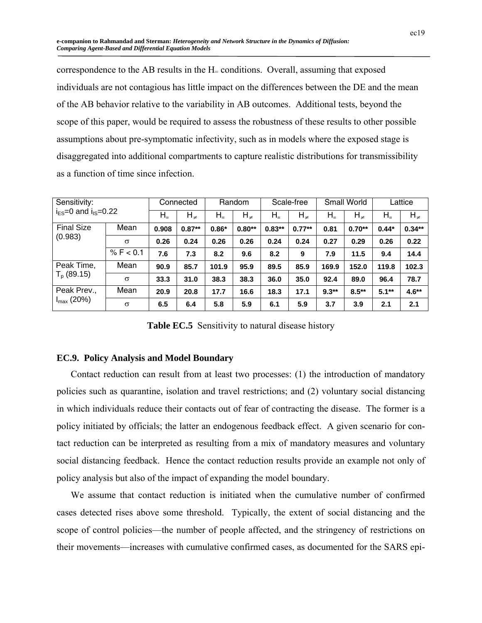correspondence to the AB results in the  $H =$  conditions. Overall, assuming that exposed individuals are not contagious has little impact on the differences between the DE and the mean of the AB behavior relative to the variability in AB outcomes. Additional tests, beyond the scope of this paper, would be required to assess the robustness of these results to other possible assumptions about pre-symptomatic infectivity, such as in models where the exposed stage is disaggregated into additional compartments to capture realistic distributions for transmissibility as a function of time since infection.

| Sensitivity:<br>$iES=0$ and $iIS=0.22$ |           | Connected |            |           | Random     |           | Scale-free |           | <b>Small World</b> | Lattice   |            |
|----------------------------------------|-----------|-----------|------------|-----------|------------|-----------|------------|-----------|--------------------|-----------|------------|
|                                        |           | $H_+$     | $H_{\neq}$ | $H_{\pm}$ | $H_{\neq}$ | $H_{\pm}$ | $H_{\neq}$ | $H_{\pm}$ | $H_{\neq}$         | $H_{\pm}$ | $H_{\neq}$ |
| <b>Final Size</b><br>(0.983)           | Mean      | 0.908     | $0.87**$   | $0.86*$   | $0.80**$   | $0.83**$  | $0.77**$   | 0.81      | $0.70**$           | $0.44*$   | $0.34**$   |
|                                        | $\sigma$  | 0.26      | 0.24       | 0.26      | 0.26       | 0.24      | 0.24       | 0.27      | 0.29               | 0.26      | 0.22       |
|                                        | % F < 0.1 | 7.6       | 7.3        | 8.2       | 9.6        | 8.2       | 9          | 7.9       | 11.5               | 9.4       | 14.4       |
| Peak Time,                             | Mean      | 90.9      | 85.7       | 101.9     | 95.9       | 89.5      | 85.9       | 169.9     | 152.0              | 119.8     | 102.3      |
| $T_p$ (89.15)                          | $\sigma$  | 33.3      | 31.0       | 38.3      | 38.3       | 36.0      | 35.0       | 92.4      | 89.0               | 96.4      | 78.7       |
| Peak Prev.,<br>$I_{\text{max}}(20\%)$  | Mean      | 20.9      | 20.8       | 17.7      | 16.6       | 18.3      | 17.1       | $9.3**$   | $8.5***$           | $5.1**$   | $4.6**$    |
|                                        | $\sigma$  | 6.5       | 6.4        | 5.8       | 5.9        | 6.1       | 5.9        | 3.7       | 3.9                | 2.1       | 2.1        |

Table EC.5 Sensitivity to natural disease history

## **EC.9. Policy Analysis and Model Boundary**

Contact reduction can result from at least two processes: (1) the introduction of mandatory policies such as quarantine, isolation and travel restrictions; and (2) voluntary social distancing in which individuals reduce their contacts out of fear of contracting the disease. The former is a policy initiated by officials; the latter an endogenous feedback effect. A given scenario for contact reduction can be interpreted as resulting from a mix of mandatory measures and voluntary social distancing feedback. Hence the contact reduction results provide an example not only of policy analysis but also of the impact of expanding the model boundary.

We assume that contact reduction is initiated when the cumulative number of confirmed cases detected rises above some threshold. Typically, the extent of social distancing and the scope of control policies—the number of people affected, and the stringency of restrictions on their movements—increases with cumulative confirmed cases, as documented for the SARS epi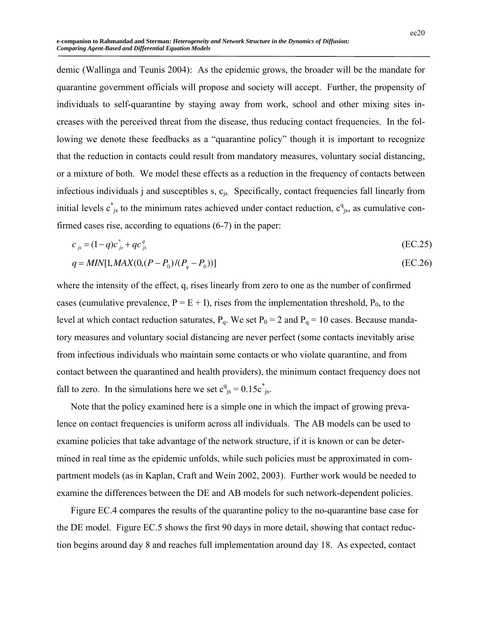demic (Wallinga and Teunis 2004): As the epidemic grows, the broader will be the mandate for quarantine government officials will propose and society will accept. Further, the propensity of individuals to self-quarantine by staying away from work, school and other mixing sites increases with the perceived threat from the disease, thus reducing contact frequencies. In the following we denote these feedbacks as a "quarantine policy" though it is important to recognize that the reduction in contacts could result from mandatory measures, voluntary social distancing, or a mixture of both. We model these effects as a reduction in the frequency of contacts between infectious individuals j and susceptibles s, c<sub>is</sub>. Specifically, contact frequencies fall linearly from initial levels  $c^*_{js}$  to the minimum rates achieved under contact reduction,  $c^q_{js}$ , as cumulative confirmed cases rise, according to equations (6-7) in the paper:

$$
c_{js} = (1 - q)c_{js}^* + qc_{js}^q
$$
 (EC.25)

$$
q = MIN[1, MAX(0, (P - P_0)/(P_q - P_0))]
$$
\n(EC.26)

where the intensity of the effect, q, rises linearly from zero to one as the number of confirmed cases (cumulative prevalence,  $P = E + I$ ), rises from the implementation threshold,  $P_0$ , to the level at which contact reduction saturates,  $P_q$ . We set  $P_0 = 2$  and  $P_q = 10$  cases. Because mandatory measures and voluntary social distancing are never perfect (some contacts inevitably arise from infectious individuals who maintain some contacts or who violate quarantine, and from contact between the quarantined and health providers), the minimum contact frequency does not fall to zero. In the simulations here we set  $c_{is}^q = 0.15c_{is}^s$ .

Note that the policy examined here is a simple one in which the impact of growing prevalence on contact frequencies is uniform across all individuals. The AB models can be used to examine policies that take advantage of the network structure, if it is known or can be determined in real time as the epidemic unfolds, while such policies must be approximated in compartment models (as in Kaplan, Craft and Wein 2002, 2003). Further work would be needed to examine the differences between the DE and AB models for such network-dependent policies.

Figure EC.4 compares the results of the quarantine policy to the no-quarantine base case for the DE model. Figure EC.5 shows the first 90 days in more detail, showing that contact reduction begins around day 8 and reaches full implementation around day 18. As expected, contact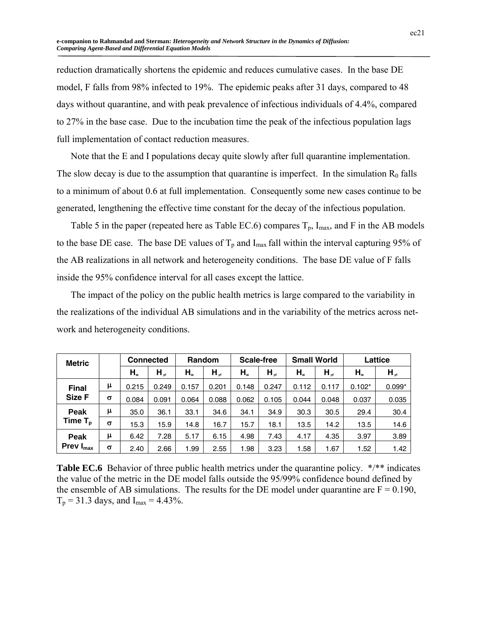reduction dramatically shortens the epidemic and reduces cumulative cases. In the base DE model, F falls from 98% infected to 19%. The epidemic peaks after 31 days, compared to 48 days without quarantine, and with peak prevalence of infectious individuals of 4.4%, compared to 27% in the base case. Due to the incubation time the peak of the infectious population lags full implementation of contact reduction measures.

Note that the E and I populations decay quite slowly after full quarantine implementation. The slow decay is due to the assumption that quarantine is imperfect. In the simulation  $R_0$  falls to a minimum of about 0.6 at full implementation. Consequently some new cases continue to be generated, lengthening the effective time constant for the decay of the infectious population.

Table 5 in the paper (repeated here as Table EC.6) compares  $T_p$ ,  $I_{max}$ , and F in the AB models to the base DE case. The base DE values of  $T_p$  and I<sub>max</sub> fall within the interval capturing 95% of the AB realizations in all network and heterogeneity conditions. The base DE value of F falls inside the 95% confidence interval for all cases except the lattice.

The impact of the policy on the public health metrics is large compared to the variability in the realizations of the individual AB simulations and in the variability of the metrics across network and heterogeneity conditions.

| <b>Metric</b>       |          |           | <b>Connected</b> |                                 | Random     |         | Scale-free |           | <b>Small World</b><br>Lattice |           |            |
|---------------------|----------|-----------|------------------|---------------------------------|------------|---------|------------|-----------|-------------------------------|-----------|------------|
|                     |          | $H_{\pm}$ | $H_{\neq}$       | $H_{\scriptscriptstyle \equiv}$ | $H_{\neq}$ | $H_{-}$ | $H_{\neq}$ | $H_{\pm}$ | $H_{\neq}$                    | $H_{\pm}$ | $H_{\neq}$ |
| <b>Final</b>        | μ        | 0.215     | 0.249            | 0.157                           | 0.201      | 0.148   | 0.247      | 0.112     | 0.117                         | $0.102*$  | $0.099*$   |
| Size F              | $\sigma$ | 0.084     | 0.091            | 0.064                           | 0.088      | 0.062   | 0.105      | 0.044     | 0.048                         | 0.037     | 0.035      |
| Peak                | μ        | 35.0      | 36.1             | 33.1                            | 34.6       | 34.1    | 34.9       | 30.3      | 30.5                          | 29.4      | 30.4       |
| Time $T_{\rm p}$    | $\sigma$ | 15.3      | 15.9             | 14.8                            | 16.7       | 15.7    | 18.1       | 13.5      | 14.2                          | 13.5      | 14.6       |
| Peak                | μ        | 6.42      | 7.28             | 5.17                            | 6.15       | 4.98    | 7.43       | 4.17      | 4.35                          | 3.97      | 3.89       |
| Prev I $_{\sf max}$ | $\sigma$ | 2.40      | 2.66             | 1.99                            | 2.55       | 1.98    | 3.23       | 1.58      | 1.67                          | 1.52      | 1.42       |

**Table EC.6** Behavior of three public health metrics under the quarantine policy. \*/\*\* indicates the value of the metric in the DE model falls outside the 95/99% confidence bound defined by the ensemble of AB simulations. The results for the DE model under quarantine are  $F = 0.190$ ,  $T_p = 31.3$  days, and  $I_{max} = 4.43\%$ .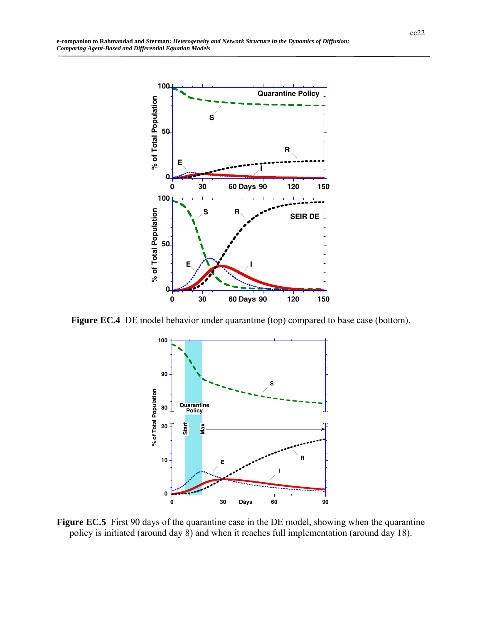

**Figure EC.4** DE model behavior under quarantine (top) compared to base case (bottom).



Figure EC.5 First 90 days of the quarantine case in the DE model, showing when the quarantine policy is initiated (around day 8) and when it reaches full implementation (around day 18).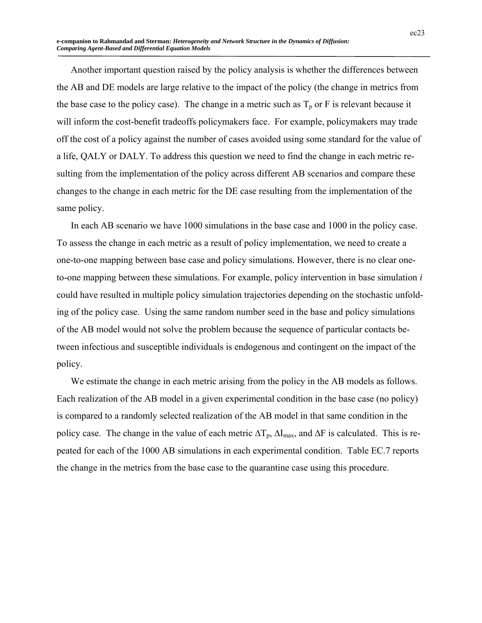Another important question raised by the policy analysis is whether the differences between the AB and DE models are large relative to the impact of the policy (the change in metrics from the base case to the policy case). The change in a metric such as  $T_p$  or F is relevant because it will inform the cost-benefit tradeoffs policymakers face. For example, policymakers may trade off the cost of a policy against the number of cases avoided using some standard for the value of a life, QALY or DALY. To address this question we need to find the change in each metric resulting from the implementation of the policy across different AB scenarios and compare these changes to the change in each metric for the DE case resulting from the implementation of the same policy.

In each AB scenario we have 1000 simulations in the base case and 1000 in the policy case. To assess the change in each metric as a result of policy implementation, we need to create a one-to-one mapping between base case and policy simulations. However, there is no clear oneto-one mapping between these simulations. For example, policy intervention in base simulation *i* could have resulted in multiple policy simulation trajectories depending on the stochastic unfolding of the policy case. Using the same random number seed in the base and policy simulations of the AB model would not solve the problem because the sequence of particular contacts between infectious and susceptible individuals is endogenous and contingent on the impact of the policy.

We estimate the change in each metric arising from the policy in the AB models as follows. Each realization of the AB model in a given experimental condition in the base case (no policy) is compared to a randomly selected realization of the AB model in that same condition in the policy case. The change in the value of each metric  $\Delta T_p$ ,  $\Delta I_{\text{max}}$ , and  $\Delta F$  is calculated. This is repeated for each of the 1000 AB simulations in each experimental condition. Table EC.7 reports the change in the metrics from the base case to the quarantine case using this procedure.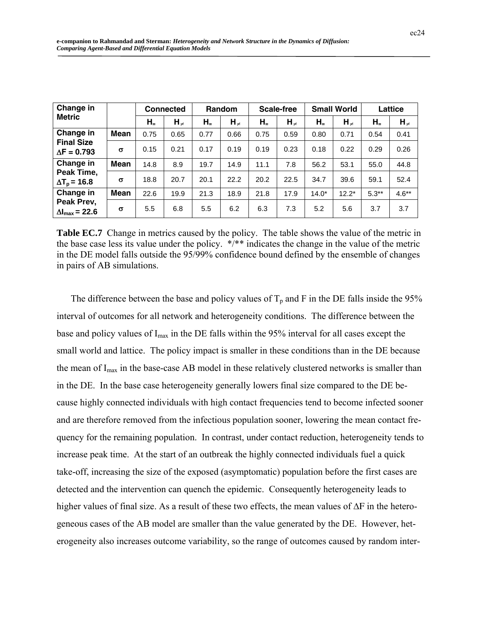| Change in                                    |             |           | <b>Connected</b> |           | Random     |           | <b>Scale-free</b> | <b>Small World</b> |            | Lattice   |            |
|----------------------------------------------|-------------|-----------|------------------|-----------|------------|-----------|-------------------|--------------------|------------|-----------|------------|
| <b>Metric</b>                                |             | $H_{\pm}$ | $H_{\neq}$       | $H_{\pm}$ | $H_{\neq}$ | $H_{\pm}$ | $H_{\neq}$        | $H_{\pm}$          | $H_{\neq}$ | $H_{\pm}$ | $H_{\neq}$ |
| Change in                                    | Mean        | 0.75      | 0.65             | 0.77      | 0.66       | 0.75      | 0.59              | 0.80               | 0.71       | 0.54      | 0.41       |
| <b>Final Size</b><br>$\Delta$ F = 0.793      | $\sigma$    | 0.15      | 0.21             | 0.17      | 0.19       | 0.19      | 0.23              | 0.18               | 0.22       | 0.29      | 0.26       |
| Change in                                    | <b>Mean</b> | 14.8      | 8.9              | 19.7      | 14.9       | 11.1      | 7.8               | 56.2               | 53.1       | 55.0      | 44.8       |
| Peak Time,<br>$\Delta T_{\text{p}}$ = 16.8   | $\sigma$    | 18.8      | 20.7             | 20.1      | 22.2       | 20.2      | 22.5              | 34.7               | 39.6       | 59.1      | 52.4       |
| Change in                                    | <b>Mean</b> | 22.6      | 19.9             | 21.3      | 18.9       | 21.8      | 17.9              | $14.0*$            | $12.2*$    | $5.3**$   | $4.6**$    |
| Peak Prev,<br>$\Delta I_{\text{max}}$ = 22.6 | $\sigma$    | 5.5       | 6.8              | 5.5       | 6.2        | 6.3       | 7.3               | 5.2                | 5.6        | 3.7       | 3.7        |

**Table EC.7** Change in metrics caused by the policy. The table shows the value of the metric in the base case less its value under the policy. \*/\*\* indicates the change in the value of the metric in the DE model falls outside the 95/99% confidence bound defined by the ensemble of changes in pairs of AB simulations.

The difference between the base and policy values of  $T_p$  and F in the DE falls inside the 95% interval of outcomes for all network and heterogeneity conditions. The difference between the base and policy values of  $I_{\text{max}}$  in the DE falls within the 95% interval for all cases except the small world and lattice. The policy impact is smaller in these conditions than in the DE because the mean of I<sub>max</sub> in the base-case AB model in these relatively clustered networks is smaller than in the DE. In the base case heterogeneity generally lowers final size compared to the DE because highly connected individuals with high contact frequencies tend to become infected sooner and are therefore removed from the infectious population sooner, lowering the mean contact frequency for the remaining population. In contrast, under contact reduction, heterogeneity tends to increase peak time. At the start of an outbreak the highly connected individuals fuel a quick take-off, increasing the size of the exposed (asymptomatic) population before the first cases are detected and the intervention can quench the epidemic. Consequently heterogeneity leads to higher values of final size. As a result of these two effects, the mean values of  $\Delta F$  in the heterogeneous cases of the AB model are smaller than the value generated by the DE. However, heterogeneity also increases outcome variability, so the range of outcomes caused by random inter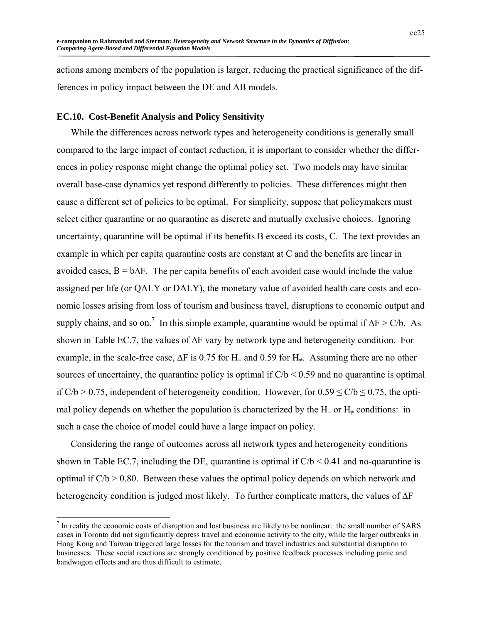actions among members of the population is larger, reducing the practical significance of the differences in policy impact between the DE and AB models.

## **EC.10. Cost-Benefit Analysis and Policy Sensitivity**

 $\overline{a}$ 

While the differences across network types and heterogeneity conditions is generally small compared to the large impact of contact reduction, it is important to consider whether the differences in policy response might change the optimal policy set. Two models may have similar overall base-case dynamics yet respond differently to policies. These differences might then cause a different set of policies to be optimal. For simplicity, suppose that policymakers must select either quarantine or no quarantine as discrete and mutually exclusive choices. Ignoring uncertainty, quarantine will be optimal if its benefits B exceed its costs, C. The text provides an example in which per capita quarantine costs are constant at C and the benefits are linear in avoided cases,  $B = b\Delta F$ . The per capita benefits of each avoided case would include the value assigned per life (or QALY or DALY), the monetary value of avoided health care costs and economic losses arising from loss of tourism and business travel, disruptions to economic output and supply chains, and so on.<sup>7</sup> In this simple example, quarantine would be optimal if  $\Delta F > C/b$ . As shown in Table EC.7, the values of ΔF vary by network type and heterogeneity condition. For example, in the scale-free case,  $\Delta F$  is 0.75 for H= and 0.59 for H<sub>≠</sub>. Assuming there are no other sources of uncertainty, the quarantine policy is optimal if  $C/b < 0.59$  and no quarantine is optimal if  $C/b > 0.75$ , independent of heterogeneity condition. However, for  $0.59 \le C/b \le 0.75$ , the optimal policy depends on whether the population is characterized by the H= or  $H_{\neq}$  conditions: in such a case the choice of model could have a large impact on policy.

Considering the range of outcomes across all network types and heterogeneity conditions shown in Table EC.7, including the DE, quarantine is optimal if  $C/b < 0.41$  and no-quarantine is optimal if  $C/b > 0.80$ . Between these values the optimal policy depends on which network and heterogeneity condition is judged most likely. To further complicate matters, the values of ΔF

 $<sup>7</sup>$  In reality the economic costs of disruption and lost business are likely to be nonlinear: the small number of SARS</sup> cases in Toronto did not significantly depress travel and economic activity to the city, while the larger outbreaks in Hong Kong and Taiwan triggered large losses for the tourism and travel industries and substantial disruption to businesses. These social reactions are strongly conditioned by positive feedback processes including panic and bandwagon effects and are thus difficult to estimate.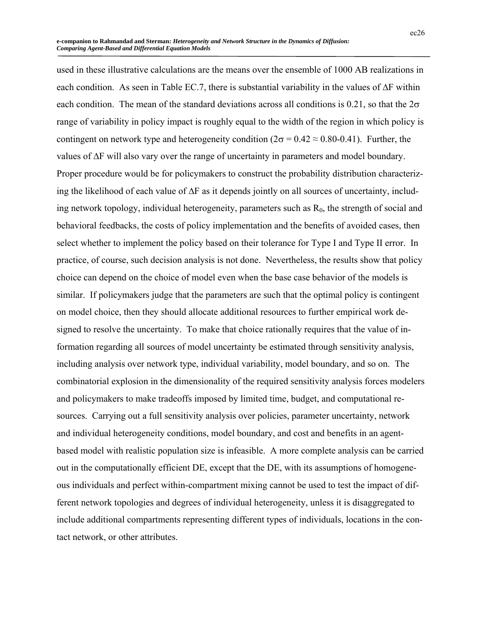used in these illustrative calculations are the means over the ensemble of 1000 AB realizations in each condition. As seen in Table EC.7, there is substantial variability in the values of  $\Delta F$  within each condition. The mean of the standard deviations across all conditions is 0.21, so that the  $2\sigma$ range of variability in policy impact is roughly equal to the width of the region in which policy is contingent on network type and heterogeneity condition ( $2\sigma = 0.42 \approx 0.80 - 0.41$ ). Further, the values of ΔF will also vary over the range of uncertainty in parameters and model boundary. Proper procedure would be for policymakers to construct the probability distribution characterizing the likelihood of each value of  $\Delta F$  as it depends jointly on all sources of uncertainty, including network topology, individual heterogeneity, parameters such as  $R_0$ , the strength of social and behavioral feedbacks, the costs of policy implementation and the benefits of avoided cases, then select whether to implement the policy based on their tolerance for Type I and Type II error. In practice, of course, such decision analysis is not done. Nevertheless, the results show that policy choice can depend on the choice of model even when the base case behavior of the models is similar. If policymakers judge that the parameters are such that the optimal policy is contingent on model choice, then they should allocate additional resources to further empirical work designed to resolve the uncertainty. To make that choice rationally requires that the value of information regarding all sources of model uncertainty be estimated through sensitivity analysis, including analysis over network type, individual variability, model boundary, and so on. The combinatorial explosion in the dimensionality of the required sensitivity analysis forces modelers and policymakers to make tradeoffs imposed by limited time, budget, and computational resources. Carrying out a full sensitivity analysis over policies, parameter uncertainty, network and individual heterogeneity conditions, model boundary, and cost and benefits in an agentbased model with realistic population size is infeasible. A more complete analysis can be carried out in the computationally efficient DE, except that the DE, with its assumptions of homogeneous individuals and perfect within-compartment mixing cannot be used to test the impact of different network topologies and degrees of individual heterogeneity, unless it is disaggregated to include additional compartments representing different types of individuals, locations in the contact network, or other attributes.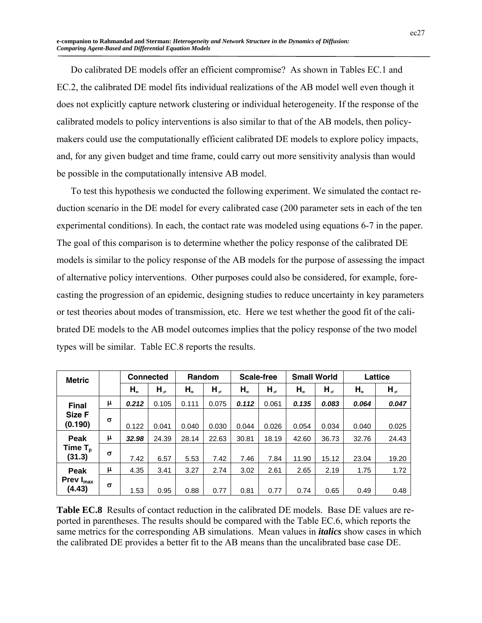Do calibrated DE models offer an efficient compromise? As shown in Tables EC.1 and EC.2, the calibrated DE model fits individual realizations of the AB model well even though it does not explicitly capture network clustering or individual heterogeneity. If the response of the calibrated models to policy interventions is also similar to that of the AB models, then policymakers could use the computationally efficient calibrated DE models to explore policy impacts, and, for any given budget and time frame, could carry out more sensitivity analysis than would be possible in the computationally intensive AB model.

To test this hypothesis we conducted the following experiment. We simulated the contact reduction scenario in the DE model for every calibrated case (200 parameter sets in each of the ten experimental conditions). In each, the contact rate was modeled using equations 6-7 in the paper. The goal of this comparison is to determine whether the policy response of the calibrated DE models is similar to the policy response of the AB models for the purpose of assessing the impact of alternative policy interventions. Other purposes could also be considered, for example, forecasting the progression of an epidemic, designing studies to reduce uncertainty in key parameters or test theories about modes of transmission, etc. Here we test whether the good fit of the calibrated DE models to the AB model outcomes implies that the policy response of the two model types will be similar. Table EC.8 reports the results.

| <b>Metric</b>                            |          | <b>Connected</b>                |            | Random  |            | <b>Scale-free</b> |            | <b>Small World</b> |            | Lattice                         |            |  |
|------------------------------------------|----------|---------------------------------|------------|---------|------------|-------------------|------------|--------------------|------------|---------------------------------|------------|--|
|                                          |          | $H_{\scriptscriptstyle \equiv}$ | $H_{\neq}$ | $H_{-}$ | $H_{\neq}$ | $H_{\pm}$         | $H_{\neq}$ | ${\sf H}_z$        | $H_{\neq}$ | $H_{\scriptscriptstyle \equiv}$ | $H_{\neq}$ |  |
| <b>Final</b>                             | μ        | 0.212                           | 0.105      | 0.111   | 0.075      | 0.112             | 0.061      | 0.135              | 0.083      | 0.064                           | 0.047      |  |
| Size F<br>(0.190)                        | $\sigma$ | 0.122                           | 0.041      | 0.040   | 0.030      | 0.044             | 0.026      | 0.054              | 0.034      | 0.040                           | 0.025      |  |
| Peak                                     | μ        | 32.98                           | 24.39      | 28.14   | 22.63      | 30.81             | 18.19      | 42.60              | 36.73      | 32.76                           | 24.43      |  |
| Time $\mathsf{T}_{\textup{d}}$<br>(31.3) | σ        | 7.42                            | 6.57       | 5.53    | 7.42       | 7.46              | 7.84       | 11.90              | 15.12      | 23.04                           | 19.20      |  |
| Peak                                     | μ        | 4.35                            | 3.41       | 3.27    | 2.74       | 3.02              | 2.61       | 2.65               | 2.19       | 1.75                            | 1.72       |  |
| <b>Prev</b> $I_{max}$<br>(4.43)          | $\sigma$ | 1.53                            | 0.95       | 0.88    | 0.77       | 0.81              | 0.77       | 0.74               | 0.65       | 0.49                            | 0.48       |  |

**Table EC.8** Results of contact reduction in the calibrated DE models. Base DE values are reported in parentheses. The results should be compared with the Table EC.6, which reports the same metrics for the corresponding AB simulations. Mean values in *italics* show cases in which the calibrated DE provides a better fit to the AB means than the uncalibrated base case DE.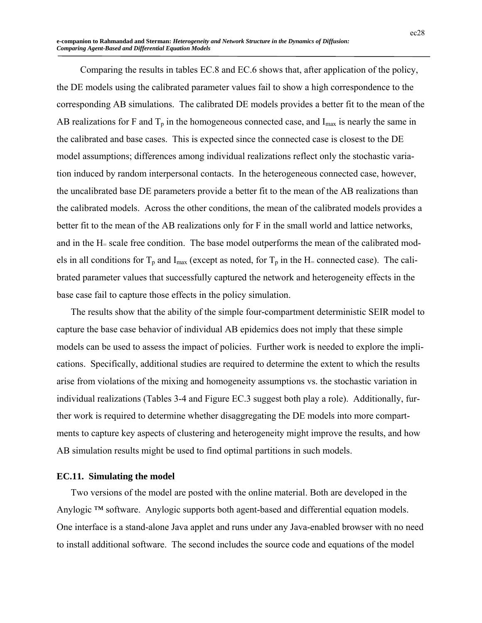Comparing the results in tables EC.8 and EC.6 shows that, after application of the policy, the DE models using the calibrated parameter values fail to show a high correspondence to the corresponding AB simulations. The calibrated DE models provides a better fit to the mean of the AB realizations for F and  $T_p$  in the homogeneous connected case, and  $I_{\text{max}}$  is nearly the same in the calibrated and base cases. This is expected since the connected case is closest to the DE model assumptions; differences among individual realizations reflect only the stochastic variation induced by random interpersonal contacts. In the heterogeneous connected case, however, the uncalibrated base DE parameters provide a better fit to the mean of the AB realizations than the calibrated models. Across the other conditions, the mean of the calibrated models provides a better fit to the mean of the AB realizations only for F in the small world and lattice networks, and in the H= scale free condition. The base model outperforms the mean of the calibrated models in all conditions for  $T_p$  and  $I_{max}$  (except as noted, for  $T_p$  in the H= connected case). The calibrated parameter values that successfully captured the network and heterogeneity effects in the base case fail to capture those effects in the policy simulation.

The results show that the ability of the simple four-compartment deterministic SEIR model to capture the base case behavior of individual AB epidemics does not imply that these simple models can be used to assess the impact of policies. Further work is needed to explore the implications. Specifically, additional studies are required to determine the extent to which the results arise from violations of the mixing and homogeneity assumptions vs. the stochastic variation in individual realizations (Tables 3-4 and Figure EC.3 suggest both play a role). Additionally, further work is required to determine whether disaggregating the DE models into more compartments to capture key aspects of clustering and heterogeneity might improve the results, and how AB simulation results might be used to find optimal partitions in such models.

#### **EC.11. Simulating the model**

Two versions of the model are posted with the online material. Both are developed in the Anylogic ™ software. Anylogic supports both agent-based and differential equation models. One interface is a stand-alone Java applet and runs under any Java-enabled browser with no need to install additional software. The second includes the source code and equations of the model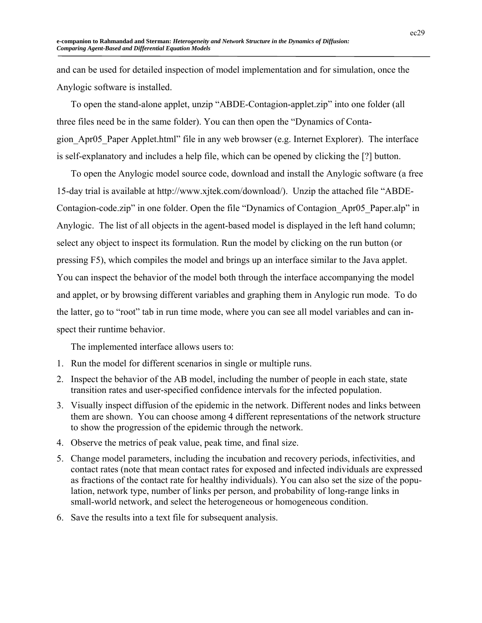and can be used for detailed inspection of model implementation and for simulation, once the Anylogic software is installed.

To open the stand-alone applet, unzip "ABDE-Contagion-applet.zip" into one folder (all three files need be in the same folder). You can then open the "Dynamics of Contagion\_Apr05\_Paper Applet.html" file in any web browser (e.g. Internet Explorer). The interface is self-explanatory and includes a help file, which can be opened by clicking the [?] button.

To open the Anylogic model source code, download and install the Anylogic software (a free 15-day trial is available at http://www.xjtek.com/download/). Unzip the attached file "ABDE-Contagion-code.zip" in one folder. Open the file "Dynamics of Contagion\_Apr05\_Paper.alp" in Anylogic. The list of all objects in the agent-based model is displayed in the left hand column; select any object to inspect its formulation. Run the model by clicking on the run button (or pressing F5), which compiles the model and brings up an interface similar to the Java applet. You can inspect the behavior of the model both through the interface accompanying the model and applet, or by browsing different variables and graphing them in Anylogic run mode. To do the latter, go to "root" tab in run time mode, where you can see all model variables and can inspect their runtime behavior.

The implemented interface allows users to:

- 1. Run the model for different scenarios in single or multiple runs.
- 2. Inspect the behavior of the AB model, including the number of people in each state, state transition rates and user-specified confidence intervals for the infected population.
- 3. Visually inspect diffusion of the epidemic in the network. Different nodes and links between them are shown. You can choose among 4 different representations of the network structure to show the progression of the epidemic through the network.
- 4. Observe the metrics of peak value, peak time, and final size.
- 5. Change model parameters, including the incubation and recovery periods, infectivities, and contact rates (note that mean contact rates for exposed and infected individuals are expressed as fractions of the contact rate for healthy individuals). You can also set the size of the population, network type, number of links per person, and probability of long-range links in small-world network, and select the heterogeneous or homogeneous condition.
- 6. Save the results into a text file for subsequent analysis.